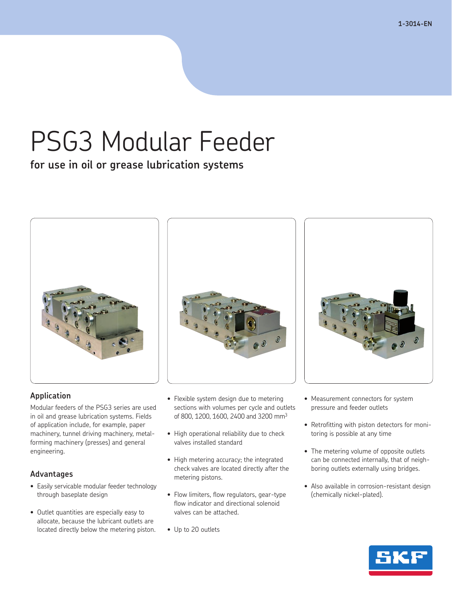**1-3014-EN**

# PSG3 Modular Feeder

**for use in oil or grease lubrication systems**



### **Application**

Modular feeders of the PSG3 series are used in oil and grease lubrication systems. Fields of application include, for example, paper machinery, tunnel driving machinery, metalforming machinery (presses) and general engineering.

# **Advantages**

- Easily servicable modular feeder technology through baseplate design
- • Outlet quantities are especially easy to allocate, because the lubricant outlets are located directly below the metering piston.



- Flexible system design due to metering sections with volumes per cycle and outlets of 800, 1200, 1600, 2400 and 3200 mm3
- High operational reliability due to check valves installed standard
- High metering accuracy; the integrated check valves are located directly after the metering pistons.
- Flow limiters, flow regulators, gear-type flow indicator and directional solenoid valves can be attached.
- Up to 20 outlets



- Measurement connectors for system pressure and feeder outlets
- Retrofitting with piston detectors for monitoring is possible at any time
- The metering volume of opposite outlets can be connected internally, that of neighboring outlets externally using bridges .
- Also available in corrosion-resistant design (chemically nickel-plated).

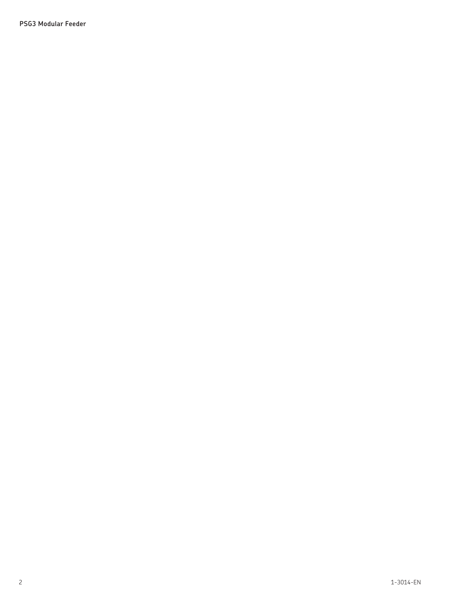**PSG3 Modular Feeder PSG3 Modular Feeder**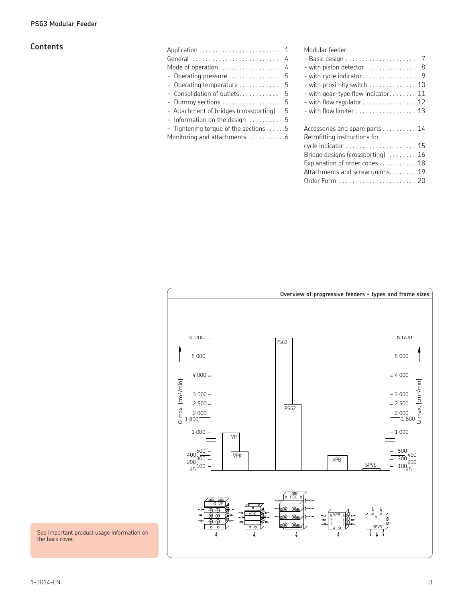| Contents | Application  1                                   |
|----------|--------------------------------------------------|
|          | General  4                                       |
|          | Mode of operation  4                             |
|          | - Operating pressure  5                          |
|          | - Operating temperature $\ldots \ldots \ldots 5$ |
|          | - Consolidation of outlets 5                     |
|          | - Dummy sections  5                              |
|          | - Attachment of bridges (crossporting) 5         |
|          | - Information on the design  5                   |
|          | - Tightening torque of the sections 5            |
|          | Monitoring and attachments6                      |
|          |                                                  |
|          |                                                  |

| Modular feeder                                                                         |    |
|----------------------------------------------------------------------------------------|----|
|                                                                                        | 7  |
| - with piston detector                                                                 | 8  |
| - with cycle indicator                                                                 | -9 |
| - with proximity switch $\ldots \ldots \ldots \ldots 10$                               |    |
| - with gear-type flow indicator 11                                                     |    |
| - with flow regulator $\ldots \ldots \ldots \ldots \ldots 12$                          |    |
| - with flow limiter 13                                                                 |    |
| Accessories and spare parts $\ldots \ldots \ldots 14$<br>Retrofitting instructions for |    |
| cycle indicator  15                                                                    |    |
| Bridge designs (crossporting) $\dots \dots 16$                                         |    |
| Explanation of order codes 18                                                          |    |
| Attachments and screw unions 19                                                        |    |
|                                                                                        |    |
|                                                                                        |    |



See important product usage information on the back cover.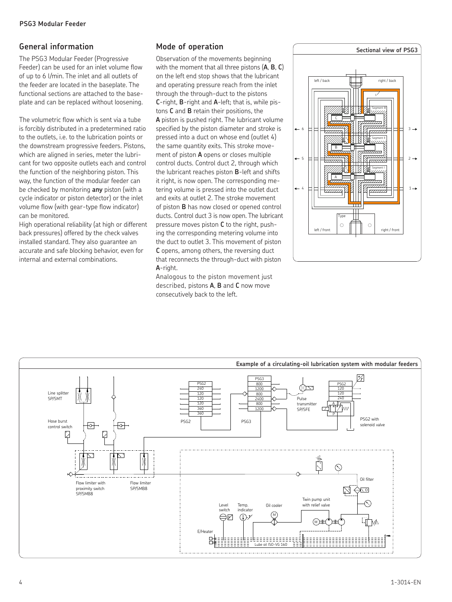# **General information**

The PSG3 Modular Feeder (Progressive Feeder) can be used for an inlet volume flow of up to 6 l/min. The inlet and all outlets of the feeder are located in the baseplate. The functional sections are attached to the baseplate and can be replaced without loosening.

The volumetric flow which is sent via a tube is forcibly distributed in a predetermined ratio to the outlets, i.e. to the lubrication points or the downstream progressive feeders. Pistons, which are aligned in series, meter the lubricant for two opposite outlets each and control the function of the neighboring piston. This way, the function of the modular feeder can be checked by monitoring **any** piston (with a cycle indicator or piston detector) or the inlet volume flow (with gear-type flow indicator) can be monitored.

High operational reliability (at high or different back pressures) offered by the check valves installed standard. They also guarantee an accurate and safe blocking behavior, even for internal and external combinations.

# **Mode of operation**

Observation of the movements beginning with the moment that all three pistons (**A**, **B**, **C**) on the left end stop shows that the lubricant and operating pressure reach from the inlet through the through-duct to the pistons **C**-right, **B**-right and **A**-left; that is, while pistons **C** and **B** retain their positions, the **A** piston is pushed right. The lubricant volume specified by the piston diameter and stroke is pressed into a duct on whose end (outlet 4) the same quantity exits. This stroke movement of piston **A** opens or closes multiple control ducts. Control duct 2, through which the lubricant reaches piston **B**-left and shifts it right, is now open. The corresponding metering volume is pressed into the outlet duct and exits at outlet 2. The stroke movement of piston **B** has now closed or opened control ducts. Control duct 3 is now open. The lubricant pressure moves piston **C** to the right, pushing the corresponding metering volume into the duct to outlet 3. This movement of piston **C** opens, among others, the reversing duct that reconnects the through-duct with piston **A**-right.

Analogous to the piston movement just described, pistons **A**, **B** and **C** now move consecutively back to the left.



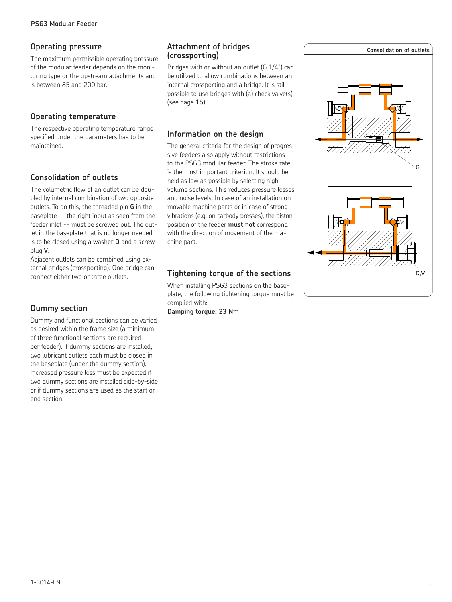### **Operating pressure**

The maximum permissible operating pressure of the modular feeder depends on the monitoring type or the upstream attachments and is between 85 and 200 bar.

### **Operating temperature**

The respective operating temperature range specified under the parameters has to be maintained.

# **Consolidation of outlets**

The volumetric flow of an outlet can be doubled by internal combination of two opposite outlets. To do this, the threaded pin **G** in the baseplate -- the right input as seen from the feeder inlet -- must be screwed out. The outlet in the baseplate that is no longer needed is to be closed using a washer **D** and a screw plug **V**.

Adjacent outlets can be combined using external bridges (crossporting). One bridge can connect either two or three outlets.

# **Dummy section**

Dummy and functional sections can be varied as desired within the frame size (a minimum of three functional sections are required per feeder). If dummy sections are installed, two lubricant outlets each must be closed in the baseplate (under the dummy section). Increased pressure loss must be expected if two dummy sections are installed side-by-side or if dummy sections are used as the start or end section.

# **Attachment of bridges (crossporting)**

Bridges with or without an outlet (G 1/4") can be utilized to allow combinations between an internal crossporting and a bridge. It is still possible to use bridges with (a) check valve(s) (see page 16).

# **Information on the design**

The general criteria for the design of progressive feeders also apply without restrictions to the PSG3 modular feeder. The stroke rate is the most important criterion. It should be held as low as possible by selecting highvolume sections. This reduces pressure losses and noise levels. In case of an installation on movable machine parts or in case of strong vibrations (e.g. on carbody presses), the piston position of the feeder **must not** correspond with the direction of movement of the machine part.

# **Tightening torque of the sections**

When installing PSG3 sections on the baseplate, the following tightening torque must be complied with:

**Damping torque: 23 Nm** 

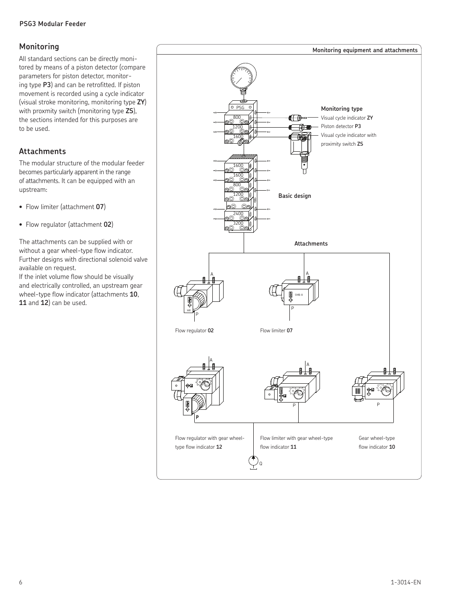# **Monitoring**

All standard sections can be directly monitored by means of a piston detector (compare parameters for piston detector, monitoring type **P3**) and can be retrofitted. If piston movement is recorded using a cycle indicator (visual stroke monitoring, monitoring type **ZY**) with proxmity switch (monitoring type **ZS**), the sections intended for this purposes are to be used.

# **Attachments**

The modular structure of the modular feeder becomes particularly apparent in the range of attachments. It can be equipped with an upstream:

- • Flow limiter (attachment **07**)
- • Flow regulator (attachment **02**)

The attachments can be supplied with or without a gear wheel-type flow indicator. Further designs with directional solenoid valve available on request.

If the inlet volume flow should be visually and electrically controlled, an upstream gear wheel-type flow indicator (attachments **10**, **11** and **12**) can be used.

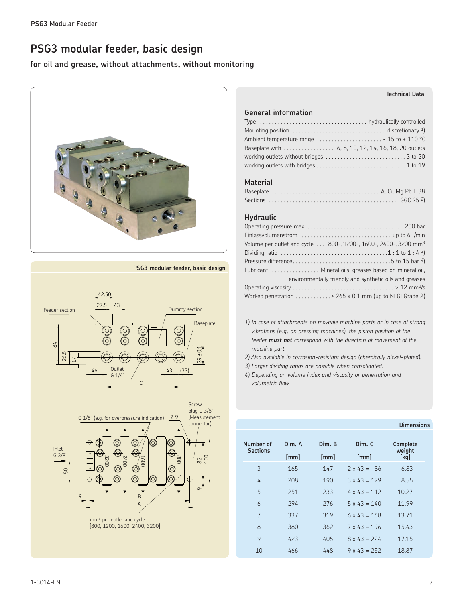# **PSG3 modular feeder, basic design**

# **for oil and grease, without attachments, without monitoring**



**PSG3 modular feeder, basic design**





#### **Technical Data**

# **General information**

| Mounting position $\ldots \ldots \ldots \ldots \ldots \ldots \ldots \ldots$ discretionary $1$ |
|-----------------------------------------------------------------------------------------------|
| Ambient temperature range $\dots\dots\dots\dots\dots\dots\dots\dots$ = 15 to + 110 °C         |
|                                                                                               |
|                                                                                               |
|                                                                                               |

### **Material**

### **Hydraulic**

| Volume per outlet and cycle  800-, 1200-, 1600-, 2400-, 3200 mm <sup>3</sup>    |
|---------------------------------------------------------------------------------|
|                                                                                 |
|                                                                                 |
| Lubricant  Mineral oils, greases based on mineral oil.                          |
| environmentally friendly and synthetic oils and greases                         |
|                                                                                 |
| Worked penetration $\ldots \ldots \ldots \ge 265$ x 0.1 mm (up to NLGI Grade 2) |
|                                                                                 |

- *1) In case of attachments on movable machine parts or in case of strong vibrations (e.g. on pressing machines), the piston position of the feeder must not correspond with the direction of movement of the machine part.*
- *2) Also available in corrosion-resistant design (chemically nickel-plated).*
- *3) Larger dividing ratios are possible when consolidated.*
- *4) Depending on volume index and viscosity or penetration and volumetric flow.*

| Number of<br><b>Sections</b> | Dim. A | Dim. B | Dim. C              | Complete<br>weight |
|------------------------------|--------|--------|---------------------|--------------------|
|                              | [mm]   | [mm]   | [mm]                | [kg]               |
| 3                            | 165    | 147    | $2 \times 43 = 86$  | 6.83               |
| 4                            | 208    | 190    | $3 \times 43 = 129$ | 8.55               |
| 5                            | 251    | 233    | $4 \times 43 = 112$ | 10.27              |
| 6                            | 294    | 276    | $5 \times 43 = 140$ | 11.99              |
| 7                            | 337    | 319    | $6 \times 43 = 168$ | 13.71              |
| 8                            | 380    | 362    | $7 \times 43 = 196$ | 15.43              |
| 9                            | 423    | 405    | $8 \times 43 = 224$ | 17.15              |
| 10                           | 466    | 448    | $9 \times 43 = 252$ | 18.87              |

**Dimensions**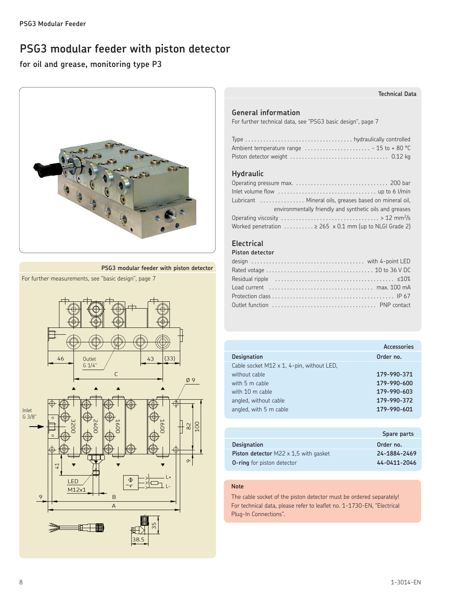# **PSG3 modular feeder with piston detector**

# **for oil and grease, monitoring type P3**



#### **PSG3 modular feeder with piston detector**

For further measurements, see "basic design", page 7



#### **Technical Data**

### **General information**

For further technical data, see "PSG3 basic design", page 7

| Ambient temperature range $\ldots \ldots \ldots \ldots \ldots \ldots \ldots -15$ to + 80 °C |  |
|---------------------------------------------------------------------------------------------|--|
|                                                                                             |  |

#### **Hydraulic**

| Inlet volume flow $\dots\dots\dots\dots\dots\dots\dots\dots\dots\dots$ up to 6 l/min |
|--------------------------------------------------------------------------------------|
| Lubricant  Mineral oils, greases based on mineral oil,                               |
| environmentally friendly and synthetic oils and greases                              |
|                                                                                      |
| Worked penetration $\dots \dots \dots \ge 265$ x 0.1 mm (up to NLGI Grade 2)         |

### **Electrical**

#### **Piston detector**

|                                           | <b>Accessories</b> |
|-------------------------------------------|--------------------|
| <b>Designation</b>                        | Order no.          |
| Cable socket M12 x 1, 4-pin, without LED, |                    |
| without cable                             | 179-990-371        |
| with 5 m cable                            | 179-990-600        |
| with 10 m cable                           | 179-990-603        |
| angled, without cable                     | 179-990-372        |
| angled, with 5 m cable                    | 179-990-601        |
|                                           |                    |

|                                                     | Spare parts  |
|-----------------------------------------------------|--------------|
| <b>Designation</b>                                  | Order no.    |
| <b>Piston detector</b> M22 $\times$ 1.5 with gasket | 24-1884-2469 |
| <b>O-ring</b> for piston detector                   | 44-0411-2046 |

#### **Note**

The cable socket of the piston detector must be ordered separately! For technical data, please refer to leaflet no. 1-1730-EN, "Electrical Plug-In Connections".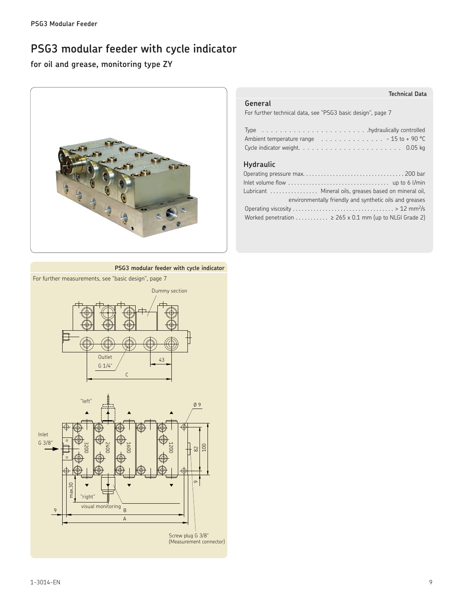# **PSG3 modular feeder with cycle indicator**

# **for oil and grease, monitoring type ZY**



#### **General**

For further technical data, see "PSG3 basic design", page 7

| Ambient temperature range $\ldots \ldots \ldots \ldots \ldots \ldots$ = 15 to +90 °C |  |  |  |  |  |  |
|--------------------------------------------------------------------------------------|--|--|--|--|--|--|
|                                                                                      |  |  |  |  |  |  |

**Technical Data**

# **Hydraulic**

| Lubricant  Mineral oils, greases based on mineral oil,      |                                                         |
|-------------------------------------------------------------|---------------------------------------------------------|
|                                                             | environmentally friendly and synthetic oils and greases |
|                                                             |                                                         |
| Worked penetration $\geq$ 265 x 0.1 mm (up to NLGI Grade 2) |                                                         |

#### **PSG3 modular feeder with cycle indicator**

For further measurements, see "basic design", page 7



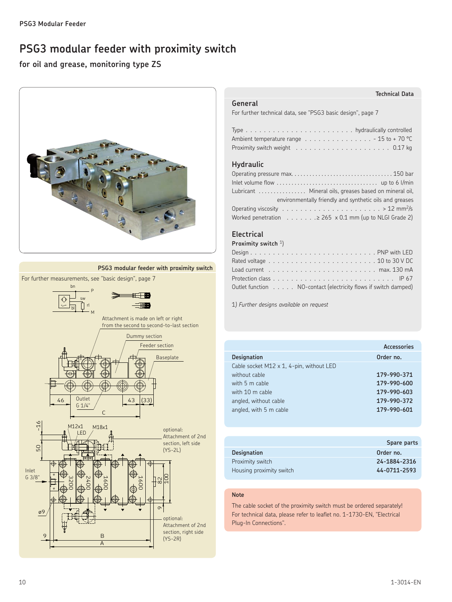# **PSG3 modular feeder with proximity switch**

# **for oil and grease, monitoring type ZS**



#### **PSG3 modular feeder with proximity switch**

For further measurements, see "basic design", page 7



#### **General**

For further technical data, see "PSG3 basic design", page 7

| Ambient temperature range $\ldots \ldots \ldots \ldots \ldots \ldots -15$ to +70 °C       |  |  |  |  |  |
|-------------------------------------------------------------------------------------------|--|--|--|--|--|
| Proximity switch weight $\ldots \ldots \ldots \ldots \ldots \ldots \ldots \ldots$ 0.17 kg |  |  |  |  |  |

**Technical Data**

### **Hydraulic**

| Inlet volume flow $\ldots, \ldots, \ldots, \ldots, \ldots, \ldots, \ldots, \ldots$ up to 6 l/min |  |
|--------------------------------------------------------------------------------------------------|--|
| Lubricant  Mineral oils, greases based on mineral oil,                                           |  |
| environmentally friendly and synthetic oils and greases                                          |  |
| Operating viscosity $\dots \dots \dots \dots \dots \dots \dots \dots \dots$                      |  |
| Worked penetration $\dots \dots \ge 265$ x 0.1 mm (up to NLGI Grade 2)                           |  |

### **Electrical**

| Proximity switch $1$ )                                                                                         |
|----------------------------------------------------------------------------------------------------------------|
|                                                                                                                |
|                                                                                                                |
| Load current $\ldots \ldots \ldots \ldots \ldots \ldots \ldots \ldots \ldots$ max. 130 mA                      |
| Protection class $\ldots$ , $\ldots$ , $\ldots$ , $\ldots$ , $\ldots$ , $\ldots$ , $\ldots$ , $\ldots$ , IP 67 |
| Outlet function NO-contact (electricity flows if switch damped)                                                |

1*) Further designs available on request*

|                                          | <b>Accessories</b> |
|------------------------------------------|--------------------|
| <b>Designation</b>                       | Order no.          |
| Cable socket M12 x 1, 4-pin, without LED |                    |
| without cable                            | 179-990-371        |
| with 5 m cable                           | 179-990-600        |
| with 10 m cable                          | 179-990-603        |
| angled, without cable                    | 179-990-372        |
| angled, with 5 m cable                   | 179-990-601        |
|                                          |                    |

|                          | Spare parts  |
|--------------------------|--------------|
| <b>Designation</b>       | Order no.    |
| Proximity switch         | 24-1884-2316 |
| Housing proximity switch | 44-0711-2593 |

#### **Note**

The cable socket of the proximity switch must be ordered separately! For technical data, please refer to leaflet no. 1-1730-EN, "Electrical Plug-In Connections".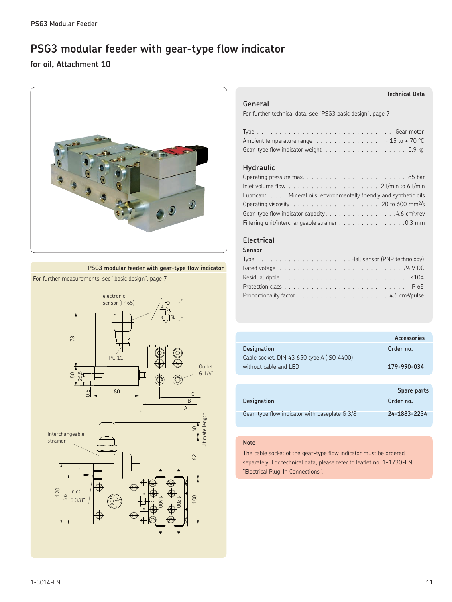# **PSG3 modular feeder with gear-type flow indicator**

# **for oil, Attachment 10**



#### **PSG3 modular feeder with gear-type flow indicator**

For further measurements, see "basic design", page 7



### **General**

For further technical data, see "PSG3 basic design", page 7

| Ambient temperature range $\ldots \ldots \ldots \ldots \ldots \ldots -15$ to +70 °C |  |  |  |  |  |  |  |
|-------------------------------------------------------------------------------------|--|--|--|--|--|--|--|
| Gear-type flow indicator weight $\ldots \ldots \ldots \ldots \ldots \ldots$ 0.9 kg  |  |  |  |  |  |  |  |

**Technical Data**

### **Hydraulic**

| Inlet volume flow $\ldots \ldots \ldots \ldots \ldots \ldots \ldots \ldots$ 2 l/min to 6 l/min      |  |
|-----------------------------------------------------------------------------------------------------|--|
| Lubricant Mineral oils, environmentally friendly and synthetic oils                                 |  |
| Operating viscosity $\ldots \ldots \ldots \ldots \ldots \ldots \ldots$ 20 to 600 mm <sup>2</sup> /s |  |
| Gear-type flow indicator capacity. $\ldots$ 4.6 cm <sup>3</sup> /rev                                |  |
| Filtering unit/interchangeable strainer 0.3 mm                                                      |  |

# **Electrical**

#### **Sensor**

|                                                                     | <b>Accessories</b> |
|---------------------------------------------------------------------|--------------------|
| <b>Designation</b>                                                  | Order no.          |
| Cable socket, DIN 43 650 type A (ISO 4400)<br>without cable and LED | 179-990-034        |
|                                                                     |                    |
|                                                                     | Spare parts        |
| <b>Designation</b>                                                  | Order no.          |
| Gear-type flow indicator with baseplate G 3/8"                      | 24-1883-2234       |

#### **Note**

The cable socket of the gear-type flow indicator must be ordered separately! For technical data, please refer to leaflet no. 1-1730-EN, "Electrical Plug-In Connections".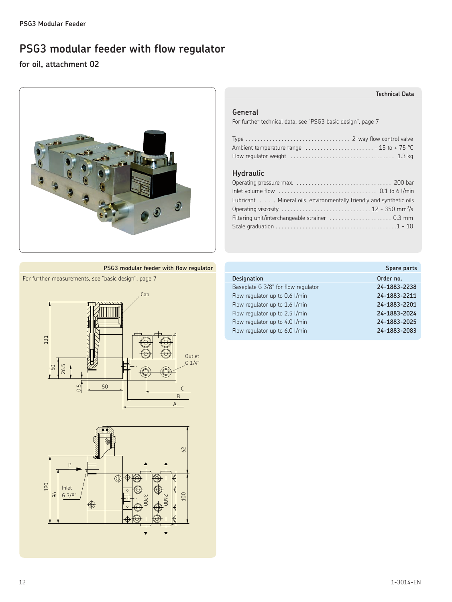# **PSG3 modular feeder with flow regulator**

# **for oil, attachment 02**



### **PSG3 modular feeder with flow regulator**

For further measurements, see "basic design", page 7





### **Technical Data**

### **General**

For further technical data, see "PSG3 basic design", page 7

| Ambient temperature range $\dots\dots\dots\dots\dots\dots\dots\dots\dots\dots\dots\dots$ |  |
|------------------------------------------------------------------------------------------|--|
|                                                                                          |  |

# **Hydraulic**

| Inlet volume flow $\ldots, \ldots, \ldots, \ldots, \ldots, \ldots, \ldots, \ldots, \ldots$ . 0.1 to 6 l/min |  |
|-------------------------------------------------------------------------------------------------------------|--|
| Lubricant Mineral oils, environmentally friendly and synthetic oils                                         |  |
|                                                                                                             |  |
| Filtering unit/interchangeable strainer  0.3 mm                                                             |  |
|                                                                                                             |  |
|                                                                                                             |  |

|                                     | Spare parts  |
|-------------------------------------|--------------|
| <b>Designation</b>                  | Order no.    |
| Baseplate G 3/8" for flow regulator | 24-1883-2238 |
| Flow regulator up to 0.6 l/min      | 24-1883-2211 |
| Flow regulator up to 1.6 I/min      | 24-1883-2201 |
| Flow regulator up to 2.5 l/min      | 24-1883-2024 |
| Flow regulator up to 4.0 l/min      | 24-1883-2025 |
| Flow regulator up to 6.0 l/min      | 24-1883-2083 |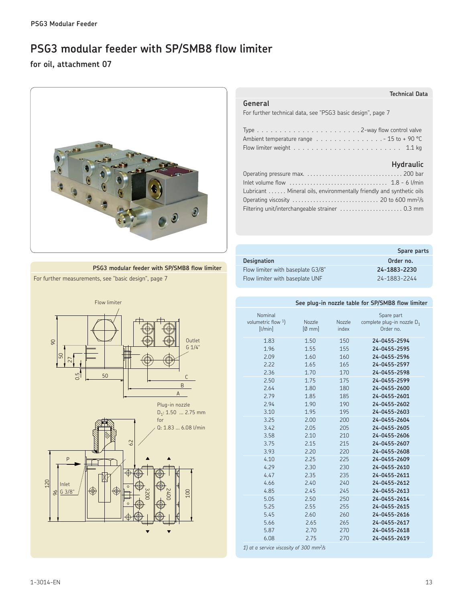# **PSG3 modular feeder with SP/SMB8 flow limiter**

# **for oil, attachment 07**



#### **PSG3 modular feeder with SP/SMB8 flow limiter**

For further measurements, see "basic design", page 7



#### **General**

For further technical data, see "PSG3 basic design", page 7

| Type $\ldots$ $\ldots$ $\ldots$ $\ldots$ $\ldots$ $\ldots$ $\ldots$ $\ldots$ $\ldots$ . 2-way flow control valve |  |  |  |  |  |  |  |  |  |  |  |
|------------------------------------------------------------------------------------------------------------------|--|--|--|--|--|--|--|--|--|--|--|
| Ambient temperature range $\ldots \ldots \ldots \ldots \ldots \ldots \ldots$ = 15 to + 90 °C                     |  |  |  |  |  |  |  |  |  |  |  |
| Flow limiter weight $\dots\dots\dots\dots\dots\dots\dots\dots\dots\dots$ 1.1 kg                                  |  |  |  |  |  |  |  |  |  |  |  |

#### **Hydraulic**

**Technical Data**

| Lubricant Mineral oils, environmentally friendly and synthetic oils |  |
|---------------------------------------------------------------------|--|
|                                                                     |  |
|                                                                     |  |

|                                   | Spare parts  |
|-----------------------------------|--------------|
| <b>Designation</b>                | Order no.    |
| Flow limiter with baseplate G3/8" | 24-1883-2230 |
| Flow limiter with baseplate UNF   | 24-1883-2244 |

#### Nominal Spare part of the state of the state of the Spare part Spare part volumetric flow <sup>1</sup>)  $Nozz$ le  $Nozz$ le complete plug-in nozzle  $D_1$  [ $U$ min]  $[Ø \text{ mm}]$  index Order no. Order no. 1 .83 1 .50 150 **24-0455-2594** 1 .96 1 .55 155 **24-0455-2595** 2 .09 1 .60 160 **24-0455-2596** 2 .22 1 .65 165 **24-0455-2597** 2 .36 1 .70 170 **24-0455-2598** 2 .50 1 .75 175 **24-0455-2599** 2 .64 1 .80 180 **24-0455-2600** 2 .79 1 .85 185 **24-0455-2601** 2 .94 1 .90 190 **24-0455-2602** 3 .10 1 .95 195 **24-0455-2603** 3 .25 2 .00 200 **24-0455-2604** 3 .42 2 .05 205 **24-0455-2605** 3 .58 2 .10 210 **24-0455-2606** 3 .75 2 .15 215 **24-0455-2607** 3 .93 2 .20 220 **24-0455-2608**

**See plug-in nozzle table for SP/SMB8 flow limiter**

| 4.10  | 2.25 | 225 | 24-0455-2609 |
|-------|------|-----|--------------|
| 4 2 9 | 2.30 | 230 | 24-0455-2610 |
| 4.47  | 2.35 | 235 | 24-0455-2611 |
| 4.66  | 2.40 | 240 | 24-0455-2612 |
| 4.85  | 2.45 | 245 | 24-0455-2613 |
| 5.05  | 2.50 | 250 | 24-0455-2614 |
| 5.25  | 2.55 | 255 | 24-0455-2615 |
| 5.45  | 2.60 | 260 | 24-0455-2616 |
| 5.66  | 2.65 | 265 | 24-0455-2617 |
| 5.87  | 2.70 | 270 | 24-0455-2618 |
| 6.08  | 2.75 | 270 | 24-0455-2619 |
|       |      |     |              |

*1) at a service viscosity of 300 mm2/s*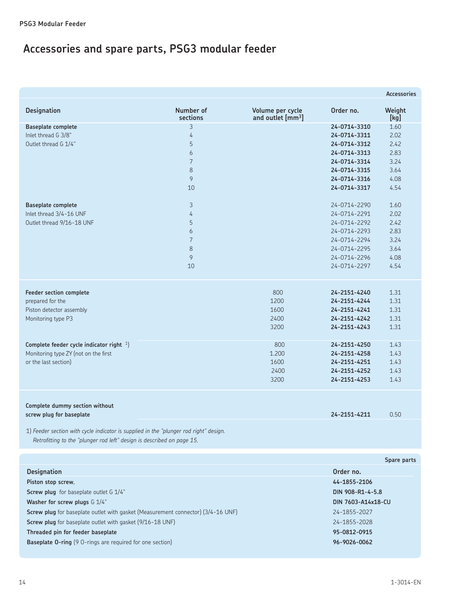# **Accessories and spare parts, PSG3 modular feeder**

|                                                                                                                                                                 |                       |                                                   |                    | <b>Accessories</b> |
|-----------------------------------------------------------------------------------------------------------------------------------------------------------------|-----------------------|---------------------------------------------------|--------------------|--------------------|
| <b>Designation</b>                                                                                                                                              | Number of<br>sections | Volume per cycle<br>and outlet [mm <sup>3</sup> ] | Order no.          | Weight<br>[kg]     |
| <b>Baseplate complete</b>                                                                                                                                       | 3                     |                                                   | 24-0714-3310       | 1.60               |
| Inlet thread G 3/8"                                                                                                                                             | 4                     |                                                   | 24-0714-3311       | 2.02               |
| Outlet thread G 1/4"                                                                                                                                            | 5                     |                                                   | 24-0714-3312       | 2.42               |
|                                                                                                                                                                 | 6                     |                                                   | 24-0714-3313       | 2.83               |
|                                                                                                                                                                 | $\overline{7}$        |                                                   | 24-0714-3314       | 3.24               |
|                                                                                                                                                                 | 8                     |                                                   | 24-0714-3315       | 3.64               |
|                                                                                                                                                                 | 9                     |                                                   | 24-0714-3316       | 4.08               |
|                                                                                                                                                                 | 10                    |                                                   | 24-0714-3317       | 4.54               |
| <b>Baseplate complete</b>                                                                                                                                       | 3                     |                                                   | 24-0714-2290       | 1.60               |
| Inlet thread 3/4-16 UNF                                                                                                                                         | 4                     |                                                   | 24-0714-2291       | 2.02               |
| Outlet thread 9/16-18 UNF                                                                                                                                       | 5                     |                                                   | 24-0714-2292       | 2.42               |
|                                                                                                                                                                 | 6                     |                                                   | 24-0714-2293       | 2.83               |
|                                                                                                                                                                 | $\overline{7}$        |                                                   | 24-0714-2294       | 3.24               |
|                                                                                                                                                                 | 8                     |                                                   | 24-0714-2295       | 3.64               |
|                                                                                                                                                                 | 9                     |                                                   | 24-0714-2296       | 4.08               |
|                                                                                                                                                                 | 10                    |                                                   | 24-0714-2297       | 4.54               |
|                                                                                                                                                                 |                       |                                                   |                    |                    |
| <b>Feeder section complete</b>                                                                                                                                  |                       | 800                                               | 24-2151-4240       | 1.31               |
| prepared for the                                                                                                                                                |                       | 1200                                              | 24-2151-4244       | 1.31               |
| Piston detector assembly                                                                                                                                        |                       | 1600                                              | 24-2151-4241       | 1.31               |
| Monitoring type P3                                                                                                                                              |                       | 2400                                              | 24-2151-4242       | 1.31               |
|                                                                                                                                                                 |                       | 3200                                              | 24-2151-4243       | 1.31               |
| Complete feeder cycle indicator right <sup>1</sup> )                                                                                                            |                       | 800                                               | 24-2151-4250       | 1.43               |
| Monitoring type ZY (not on the first                                                                                                                            |                       | 1.200                                             | 24-2151-4258       | 1.43               |
| or the last section)                                                                                                                                            |                       | 1600                                              | 24-2151-4251       | 1.43               |
|                                                                                                                                                                 |                       | 2400                                              | 24-2151-4252       | 1.43               |
|                                                                                                                                                                 |                       | 3200                                              | 24-2151-4253       | 1.43               |
|                                                                                                                                                                 |                       |                                                   |                    |                    |
| Complete dummy section without<br>screw plug for baseplate                                                                                                      |                       |                                                   | 24-2151-4211       | 0.50               |
|                                                                                                                                                                 |                       |                                                   |                    |                    |
| 1) Feeder section with cycle indicator is supplied in the "plunger rod right" design.<br>Retrofitting to the "plunger rod left" design is described on page 15. |                       |                                                   |                    |                    |
|                                                                                                                                                                 |                       |                                                   |                    |                    |
|                                                                                                                                                                 |                       |                                                   |                    | Spare parts        |
| <b>Designation</b>                                                                                                                                              |                       |                                                   | Order no.          |                    |
| Piston stop screw,                                                                                                                                              |                       |                                                   | 44-1855-2106       |                    |
| Screw plug for baseplate outlet G 1/4"                                                                                                                          |                       |                                                   | DIN 908-R1-4-5.8   |                    |
| Washer for screw plugs G 1/4"                                                                                                                                   |                       |                                                   | DIN 7603-A14x18-CU |                    |
|                                                                                                                                                                 |                       |                                                   | 24-1855-2027       |                    |
| <b>Screw plug</b> for baseplate outlet with gasket (Measurement connector) (3/4-16 UNF)                                                                         |                       |                                                   |                    |                    |
| <b>Screw plug</b> for baseplate outlet with gasket (9/16-18 UNF)                                                                                                |                       |                                                   | 24-1855-2028       |                    |
| Threaded pin for feeder baseplate                                                                                                                               |                       |                                                   | 95-0812-0915       |                    |
| Baseplate O-ring (9 O-rings are required for one section)                                                                                                       |                       |                                                   | 96-9026-0062       |                    |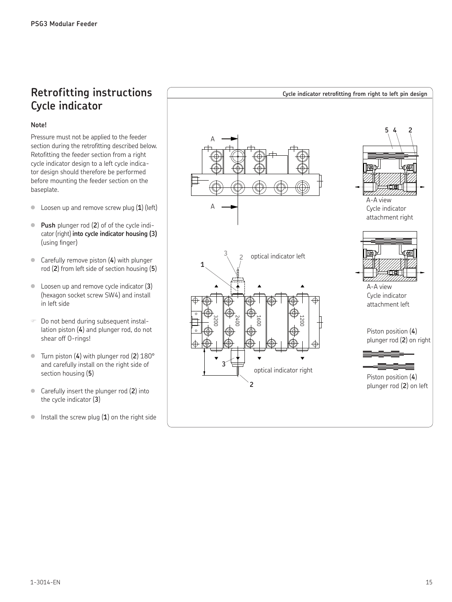# **Retrofitting instructions Cycle indicator**

### **Note!**

Pressure must not be applied to the feeder section during the retrofitting described below. Retofitting the feeder section from a right cycle indicator design to a left cycle indicator design should therefore be performed before mounting the feeder section on the baseplate.

- Loosen up and remove screw plug (**1**) (left)
- **Push** plunger rod (**2**) of of the cycle indicator (right) **into cycle indicator housing (3)**  (using finger)
- Carefully remove piston (**4**) with plunger rod (**2**) from left side of section housing (**5**)
- Loosen up and remove cycle indicator (**3**) (hexagon socket screw SW4) and install in left side
- Do not bend during subsequent installation piston (**4**) and plunger rod, do not shear off O-rings!
- Turn piston (**4**) with plunger rod (**2**) 180° and carefully install on the right side of section housing (**5**)
- Carefully insert the plunger rod (**2**) into the cycle indicator (**3**)
- Install the screw plug (**1**) on the right side

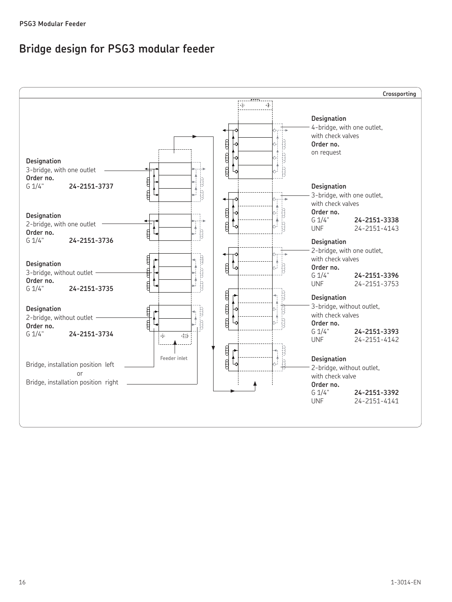# **Bridge design for PSG3 modular feeder**

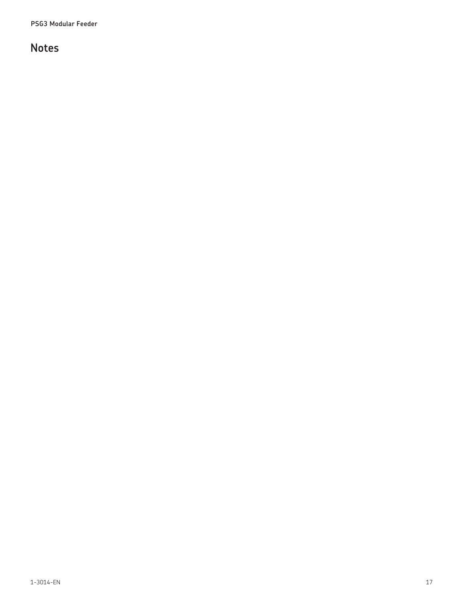**PSG3 Modular Feeder PSG3 Modular Feeder**

# **Notes**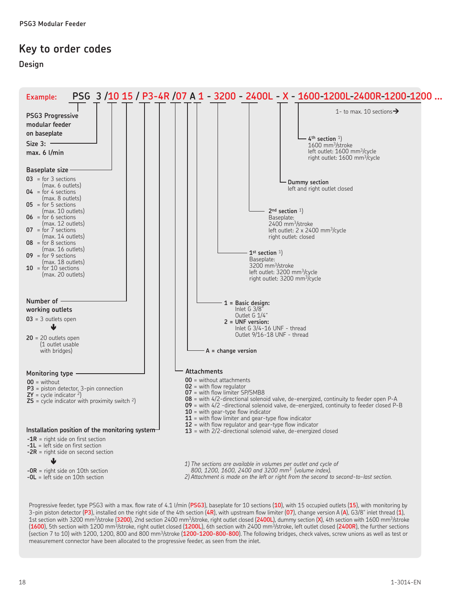# **Key to order codes**

# **Design**

| <b>Example:</b>                                                                                                                                                                                                                                                                                                                                                                                                                                                                         | PSG 3/10 15 / P3-4R /07 A 1 - 3200 - 2400L - X - 1600-1200L-2400R-1200-1200                                                                                                                                                                                                                                                                                                                                                                                                                                                                                             |
|-----------------------------------------------------------------------------------------------------------------------------------------------------------------------------------------------------------------------------------------------------------------------------------------------------------------------------------------------------------------------------------------------------------------------------------------------------------------------------------------|-------------------------------------------------------------------------------------------------------------------------------------------------------------------------------------------------------------------------------------------------------------------------------------------------------------------------------------------------------------------------------------------------------------------------------------------------------------------------------------------------------------------------------------------------------------------------|
| <b>PSG3 Progressive</b><br>modular feeder<br>on baseplate<br>Size 3:<br>max. 6 l/min<br>Baseplate size -<br>$03 =$ for 3 sections<br>(max. 6 outlets)<br>$04 =$ for 4 sections<br>(max. 8 outlets)<br>$05 =$ for 5 sections<br>(max. 10 outlets)<br>$06 =$ for 6 sections<br>(max. 12 outlets)<br>$07 = for 7 sections$<br>(max. 14 outlets)<br>$08 =$ for 8 sections<br>(max. 16 outlets)<br>$09 = for 9 sections$<br>(max. 18 outlets)<br>$10 =$ for 10 sections<br>(max. 20 outlets) | 1- to max. 10 sections $\rightarrow$<br>$4th$ section $1$ )<br>$1600$ mm <sup>3</sup> /stroke<br>left outlet: 1600 mm <sup>3</sup> /cycle<br>right outlet: 1600 mm <sup>3</sup> /cycle<br>Dummy section<br>left and right outlet closed<br>2 <sup>nd</sup> section 1)<br>Baseplate:<br>2400 mm <sup>3</sup> /stroke<br>left outlet: $2 \times 2400$ mm <sup>3</sup> /cycle<br>right outlet: closed<br>1 <sup>st</sup> section 1)<br>Baseplate:<br>3200 mm <sup>3</sup> /stroke<br>left outlet: 3200 mm <sup>3</sup> /cycle<br>right outlet: 3200 mm <sup>3</sup> /cycle |
| Number of -<br>working outlets<br>$03 = 3$ outlets open<br>$20 = 20$ outlets open<br>(1 outlet usable<br>with bridges)                                                                                                                                                                                                                                                                                                                                                                  | $1 =$ Basic design:<br>Inlet $G$ $3/8'$<br>Outlet G 1/4"<br>$2 = UNF version:$<br>Inlet G 3/4-16 UNF - thread<br>Outlet 9/16-18 UNF - thread<br>$A = change version$                                                                                                                                                                                                                                                                                                                                                                                                    |
| <b>Monitoring type -</b><br>$00 =$ without<br>$P3$ = piston detector, 3-pin connection<br>$ZY = cycle$ indicator <sup>2</sup> )<br>$\mathsf{ZS}$ = cycle indicator with proximity switch <sup>2</sup> )<br>Installation position of the monitoring system<br>$-1R$ = right side on first section                                                                                                                                                                                        | <b>Attachments</b><br>$00 =$ without attachments<br>$02$ = with flow regulator<br><b>07</b> = with flow limiter SP/SMB8<br>$08$ = with 4/2-directional solenoid valve, de-energized, continuity to feeder open P-A<br>$09$ = with 4/2 -directional solenoid valve, de-energized, continuity to feeder closed P-B<br>$10$ = with gear-type flow indicator<br>$11$ = with flow limiter and gear-type flow indicator<br>$12$ = with flow regulator and gear-type flow indicator<br>$13$ = with 2/2-directional solenoid valve, de-energized closed                         |
| $-1L$ = left side on first section<br>$-2R$ = right side on second section<br>₩<br>$-OR$ = right side on 10th section<br>$-OL$ = left side on 10th section                                                                                                                                                                                                                                                                                                                              | 1) The sections are available in volumes per outlet and cycle of<br>800, 1200, 1600, 2400 and 3200 mm <sup>3</sup> (volume index).<br>2) Attachment is made on the left or right from the second to second-to-last section.                                                                                                                                                                                                                                                                                                                                             |

Progressive feeder, type PSG3 with a max. flow rate of 4.1 l/min (**PSG3**), baseplate for 10 sections (**10**), with 15 occupied outlets (**15**), with monitoring by 3-pin piston detector (**P3**), installed on the right side of the 4th section (**4R**), with upstream flow limiter (**07**), change version A (**A**), G3/8" inlet thread (**1**), 1st section with 3200 mm3/stroke (**3200**), 2nd section 2400 mm3/stroke, right outlet closed (**2400L**), dummy section (**X**), 4th section with 1600 mm3/stroke (**1600**), 5th section with 1200 mm3/stroke, right outlet closed (**1200L**), 6th section with 2400 mm3/stroke, left outlet closed (**2400R**), the further sections (section 7 to 10) with 1200, 1200, 800 and 800 mm3/stroke (**1200-1200-800-800**). The following bridges, check valves, screw unions as well as test or measurement connector have been allocated to the progressive feeder, as seen from the inlet.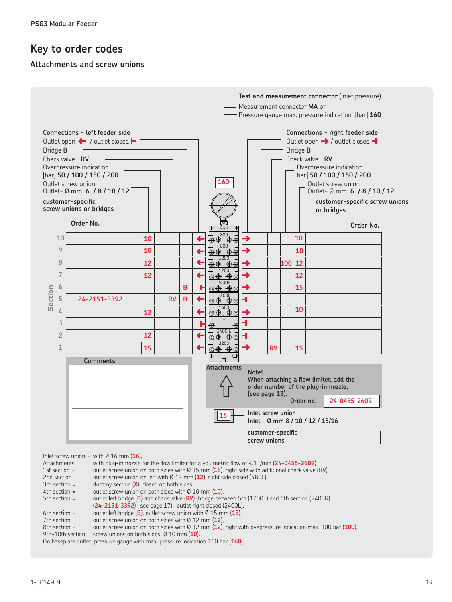# **Key to order codes**

# **Attachments and screw unions**



outlet screw union on both sides with  $\emptyset$  12 mm (12),

```
8th section = outlet screw union on both sides with Ø 12 mm (12), right with ovepressure indication max. 100 bar (100),
```
9th-10th section = screw unions on both sides Ø 10 mm (**10**).

On baseplate outlet, pressure gauge with max. pressure indication 160 bar (**160**).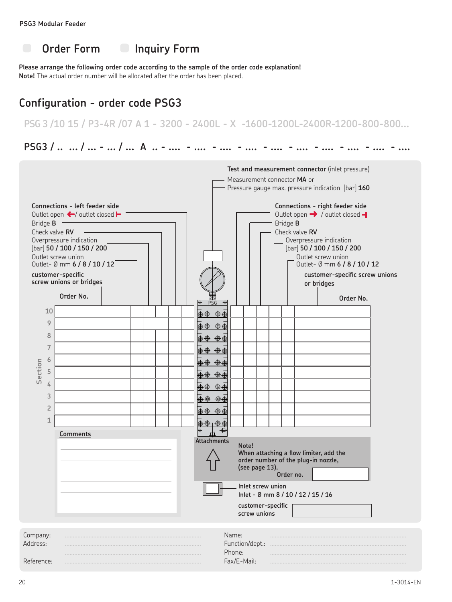# **C** Order Form **C** Inquiry Form

**Please arrange the following order code according to the sample of the order code explanation! Note!** The actual order number will be allocated after the order has been placed.

# **Configuration - order code PSG3**

**PSG 3 /10 15 / P3-4R /07 A 1 - 3200 - 2400L - X -1600-1200L-2400R-1200-800-800...**

**PSG3 / .. ... / ... - ... / ... A .. - .... - .... - .... - .... - .... - .... - .... - .... - .... - ....** 



Reference: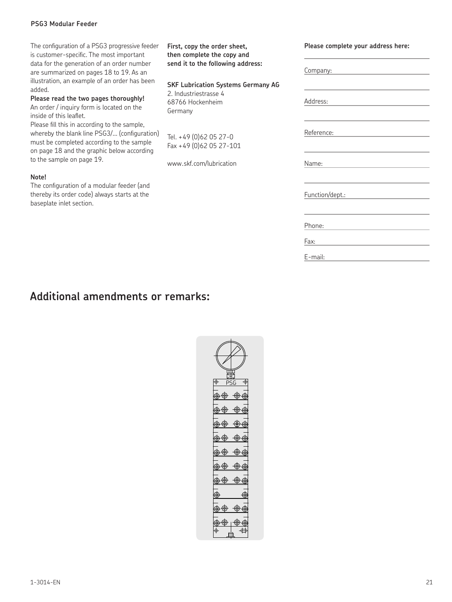#### **PSG3 Modular Feeder PSG3 Modular Feeder**

The configuration of a PSG3 progressive feeder is customer-specific. The most important data for the generation of an order number are summarized on pages 18 to 19. As an illustration, an example of an order has been added.

**Please read the two pages thoroughly!**  An order / inquiry form is located on the inside of this leaflet.

Please fill this in according to the sample, whereby the blank line PSG3/... (configuration) must be completed according to the sample on page 18 and the graphic below according to the sample on page 19.

#### **Note!**

The configuration of a modular feeder (and thereby its order code) always starts at the baseplate inlet section.

**First, copy the order sheet, then complete the copy and send it to the following address:**

**SKF Lubrication Systems Germany AG**  2. Industriestrasse 4

68766 Hockenheim Germany

Tel. +49 (0)62 05 27-0 Fax +49 (0)62 05 27-101

www.skf.com/lubrication

|            | Company:                                                                                                             |
|------------|----------------------------------------------------------------------------------------------------------------------|
|            |                                                                                                                      |
|            |                                                                                                                      |
|            | Name: 1999 - 1999 - 1999 - 1999 - 1999 - 1999 - 1999 - 1999 - 1999 - 1999 - 1999 - 1999 - 1999 - 1999 - 1999 -       |
|            |                                                                                                                      |
| Phone:     | <u> 1980 - Jan Barbara Barbara, manazarta bashka a shekara 1981 - 1981 - 1982 - 1982 - 1983 - 1984 - 1986 - 1986</u> |
|            |                                                                                                                      |
| $E$ -mail: |                                                                                                                      |

# **Additional amendments or remarks:**